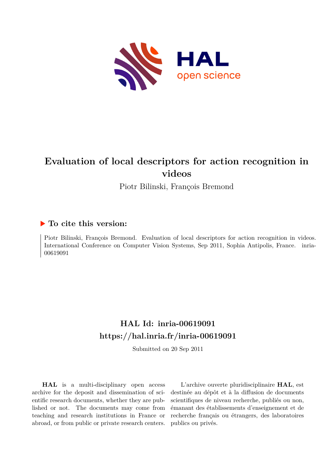

# **Evaluation of local descriptors for action recognition in videos**

Piotr Bilinski, François Bremond

# **To cite this version:**

Piotr Bilinski, François Bremond. Evaluation of local descriptors for action recognition in videos. International Conference on Computer Vision Systems, Sep 2011, Sophia Antipolis, France. inria-00619091ff

# **HAL Id: inria-00619091 <https://hal.inria.fr/inria-00619091>**

Submitted on 20 Sep 2011

**HAL** is a multi-disciplinary open access archive for the deposit and dissemination of scientific research documents, whether they are published or not. The documents may come from teaching and research institutions in France or abroad, or from public or private research centers.

L'archive ouverte pluridisciplinaire **HAL**, est destinée au dépôt et à la diffusion de documents scientifiques de niveau recherche, publiés ou non, émanant des établissements d'enseignement et de recherche français ou étrangers, des laboratoires publics ou privés.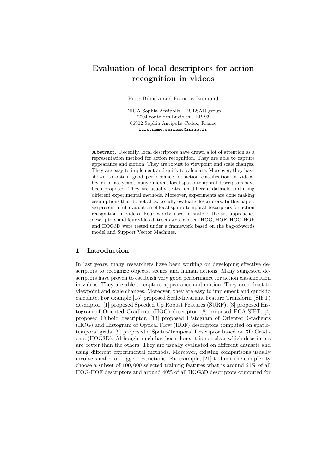# Evaluation of local descriptors for action recognition in videos

Piotr Bilinski and Francois Bremond

INRIA Sophia Antipolis - PULSAR group 2004 route des Lucioles - BP 93 06902 Sophia Antipolis Cedex, France firstname.surname@inria.fr

Abstract. Recently, local descriptors have drawn a lot of attention as a representation method for action recognition. They are able to capture appearance and motion. They are robust to viewpoint and scale changes. They are easy to implement and quick to calculate. Moreover, they have shown to obtain good performance for action classification in videos. Over the last years, many different local spatio-temporal descriptors have been proposed. They are usually tested on different datasets and using different experimental methods. Moreover, experiments are done making assumptions that do not allow to fully evaluate descriptors. In this paper, we present a full evaluation of local spatio-temporal descriptors for action recognition in videos. Four widely used in state-of-the-art approaches descriptors and four video datasets were chosen. HOG, HOF, HOG-HOF and HOG3D were tested under a framework based on the bag-of-words model and Support Vector Machines.

## 1 Introduction

In last years, many researchers have been working on developing effective descriptors to recognize objects, scenes and human actions. Many suggested descriptors have proven to establish very good performance for action classification in videos. They are able to capture appearance and motion. They are robust to viewpoint and scale changes. Moreover, they are easy to implement and quick to calculate. For example [15] proposed Scale-Invariant Feature Transform (SIFT) descriptor, [1] proposed Speeded Up Robust Features (SURF), [3] proposed Histogram of Oriented Gradients (HOG) descriptor. [8] proposed PCA-SIFT, [4] proposed Cuboid descriptor, [13] proposed Histogram of Oriented Gradients (HOG) and Histogram of Optical Flow (HOF) descriptors computed on spatiotemporal grids. [9] proposed a Spatio-Temporal Descriptor based on 3D Gradients (HOG3D). Although much has been done, it is not clear which descriptors are better than the others. They are usually evaluated on different datasets and using different experimental methods. Moreover, existing comparisons usually involve smaller or bigger restrictions. For example, [21] to limit the complexity choose a subset of 100, 000 selected training features what is around 21% of all HOG-HOF descriptors and around 40% of all HOG3D descriptors computed for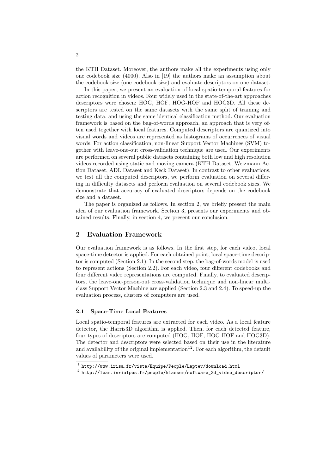the KTH Dataset. Moreover, the authors make all the experiments using only one codebook size (4000). Also in [19] the authors make an assumption about the codebook size (one codebook size) and evaluate descriptors on one dataset.

In this paper, we present an evaluation of local spatio-temporal features for action recognition in videos. Four widely used in the state-of-the-art approaches descriptors were chosen: HOG, HOF, HOG-HOF and HOG3D. All these descriptors are tested on the same datasets with the same split of training and testing data, and using the same identical classification method. Our evaluation framework is based on the bag-of-words approach, an approach that is very often used together with local features. Computed descriptors are quantized into visual words and videos are represented as histograms of occurrences of visual words. For action classification, non-linear Support Vector Machines (SVM) together with leave-one-out cross-validation technique are used. Our experiments are performed on several public datasets containing both low and high resolution videos recorded using static and moving camera (KTH Dataset, Weizmann Action Dataset, ADL Dataset and Keck Dataset). In contrast to other evaluations, we test all the computed descriptors, we perform evaluation on several differing in difficulty datasets and perform evaluation on several codebook sizes. We demonstrate that accuracy of evaluated descriptors depends on the codebook size and a dataset.

The paper is organized as follows. In section 2, we briefly present the main idea of our evaluation framework. Section 3, presents our experiments and obtained results. Finally, in section 4, we present our conclusion.

### 2 Evaluation Framework

Our evaluation framework is as follows. In the first step, for each video, local space-time detector is applied. For each obtained point, local space-time descriptor is computed (Section 2.1). In the second step, the bag-of-words model is used to represent actions (Section 2.2). For each video, four different codebooks and four different video representations are computed. Finally, to evaluated descriptors, the leave-one-person-out cross-validation technique and non-linear multiclass Support Vector Machine are applied (Section 2.3 and 2.4). To speed-up the evaluation process, clusters of computers are used.

#### 2.1 Space-Time Local Features

Local spatio-temporal features are extracted for each video. As a local feature detector, the Harris3D algorithm is applied. Then, for each detected feature, four types of descriptors are computed (HOG, HOF, HOG-HOF and HOG3D). The detector and descriptors were selected based on their use in the literature and availability of the original implementation<sup>12</sup>. For each algorithm, the default values of parameters were used.

 $^{\rm 1}$  http://www.irisa.fr/vista/Equipe/People/Laptev/download.html

<sup>2</sup> http://lear.inrialpes.fr/people/klaeser/software\_3d\_video\_descriptor/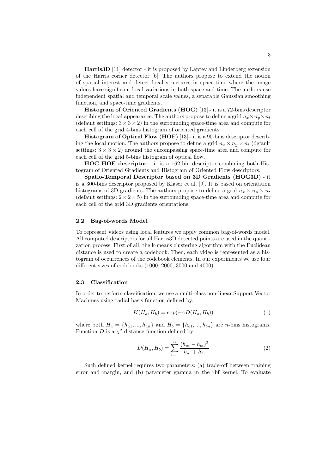Harris3D [11] detector - it is proposed by Laptev and Linderberg extension of the Harris corner detector [6]. The authors propose to extend the notion of spatial interest and detect local structures in space-time where the image values have significant local variations in both space and time. The authors use independent spatial and temporal scale values, a separable Gaussian smoothing function, and space-time gradients.

Histogram of Oriented Gradients (HOG) [13] - it is a 72-bins descriptor describing the local appearance. The authors propose to define a grid  $n_x \times n_y \times n_t$ (default settings:  $3 \times 3 \times 2$ ) in the surrounding space-time area and compute for each cell of the grid 4-bins histogram of oriented gradients.

Histogram of Optical Flow (HOF) [13] - it is a 90-bins descriptor describing the local motion. The authors propose to define a grid  $n_x \times n_y \times n_t$  (default settings:  $3 \times 3 \times 2$  around the encompassing space-time area and compute for each cell of the grid 5-bins histogram of optical flow.

HOG-HOF descriptor - it is a 162-bin descriptor combining both Histogram of Oriented Gradients and Histogram of Oriented Flow descriptors.

Spatio-Temporal Descriptor based on 3D Gradients (HOG3D) - it is a 300-bins descriptor proposed by Klaser et al. [9]. It is based on orientation histograms of 3D gradients. The authors propose to define a grid  $n_x \times n_y \times n_t$ (default settings:  $2 \times 2 \times 5$ ) in the surrounding space-time area and compute for each cell of the grid 3D gradients orientations.

#### 2.2 Bag-of-words Model

To represent videos using local features we apply common bag-of-words model. All computed descriptors for all Harris3D detected points are used in the quantization process. First of all, the k-means clustering algorithm with the Euclidean distance is used to create a codebook. Then, each video is represented as a histogram of occurrences of the codebook elements. In our experiments we use four different sizes of codebooks (1000, 2000, 3000 and 4000).

#### 2.3 Classification

In order to perform classification, we use a multi-class non-linear Support Vector Machines using radial basis function defined by:

$$
K(H_a, H_b) = exp(-\gamma D(H_a, H_b))
$$
\n<sup>(1)</sup>

where both  $H_a = \{h_{a1}, ..., h_{an}\}\$ and  $H_b = \{h_{b1}, ..., h_{bn}\}\$ are n-bins histograms. Function D is a  $\chi^2$  distance function defined by:

$$
D(H_a, H_b) = \sum_{i=1}^{n} \frac{(h_{ai} - h_{bi})^2}{h_{ai} + h_{bi}}
$$
 (2)

Such defined kernel requires two parameters: (a) trade-off between training error and margin, and (b) parameter gamma in the rbf kernel. To evaluate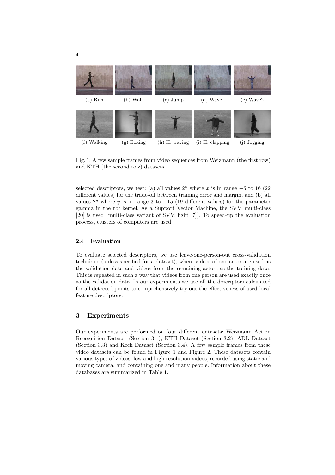

Fig. 1: A few sample frames from video sequences from Weizmann (the first row) and KTH (the second row) datasets.

selected descriptors, we test: (a) all values  $2^x$  where x is in range  $-5$  to 16 (22) different values) for the trade-off between training error and margin, and (b) all values  $2^y$  where y is in range 3 to  $-15$  (19 different values) for the parameter gamma in the rbf kernel. As a Support Vector Machine, the SVM multi-class [20] is used (multi-class variant of SVM light [7]). To speed-up the evaluation process, clusters of computers are used.

#### 2.4 Evaluation

To evaluate selected descriptors, we use leave-one-person-out cross-validation technique (unless specified for a dataset), where videos of one actor are used as the validation data and videos from the remaining actors as the training data. This is repeated in such a way that videos from one person are used exactly once as the validation data. In our experiments we use all the descriptors calculated for all detected points to comprehensively try out the effectiveness of used local feature descriptors.

## 3 Experiments

Our experiments are performed on four different datasets: Weizmann Action Recognition Dataset (Section 3.1), KTH Dataset (Section 3.2), ADL Dataset (Section 3.3) and Keck Dataset (Section 3.4). A few sample frames from these video datasets can be found in Figure 1 and Figure 2. These datasets contain various types of videos: low and high resolution videos, recorded using static and moving camera, and containing one and many people. Information about these databases are summarized in Table 1.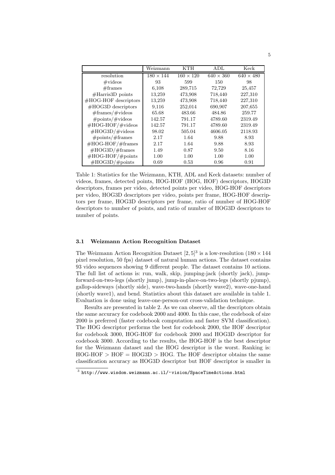|                          | Weizmann         | KTH              | ADL              | Keck             |
|--------------------------|------------------|------------------|------------------|------------------|
| resolution               | $180 \times 144$ | $160 \times 120$ | $640 \times 360$ | $640 \times 480$ |
| $\#$ videos              | 93               | 599              | 150              | 98               |
| #frames                  | 6,108            | 289,715          | 72,729           | 25,457           |
| $\# Harris3D$ points     | 13,259           | 473,908          | 718,440          | 227,310          |
| #HOG-HOF descriptors     | 13,259           | 473,908          | 718,440          | 227,310          |
| $#HOG3D$ descriptors     | 9,116            | 252,014          | 690,907          | 207,655          |
| $\#$ frames/ $\#$ videos | 65.68            | 483.66           | 484.86           | 259.77           |
| $\#points/\#video$       | 142.57           | 791.17           | 4789.60          | 2319.49          |
| $\#HOG-HOF/\#video$      | 142.57           | 791.17           | 4789.60          | 2319.49          |
| $\#HOG3D/\#videos$       | 98.02            | 505.04           | 4606.05          | 2118.93          |
| $\#points/\#frames$      | 2.17             | 1.64             | 9.88             | 8.93             |
| $\#HOG-HOF/\#frames$     | 2.17             | 1.64             | 9.88             | 8.93             |
| $\#HOG3D/\#frames$       | 1.49             | 0.87             | 9.50             | 8.16             |
| $\#HOG-HOF/\#points$     | 1.00             | 1.00             | 1.00             | 1.00             |
| $\#HOG3D/\#points$       | 0.69             | 0.53             | 0.96             | 0.91             |

Table 1: Statistics for the Weizmann, KTH, ADL and Keck datasets: number of videos, frames, detected points, HOG-HOF (HOG, HOF) descriptors, HOG3D descriptors, frames per video, detected points per video, HOG-HOF descriptors per video, HOG3D descriptors per video, points per frame, HOG-HOF descriptors per frame, HOG3D descriptors per frame, ratio of number of HOG-HOF descriptors to number of points, and ratio of number of HOG3D descriptors to number of points.

### 3.1 Weizmann Action Recognition Dataset

The Weizmann Action Recognition Dataset  $[2,5]^3$  is a low-resolution  $(180 \times 144)$ pixel resolution, 50 fps) dataset of natural human actions. The dataset contains 93 video sequences showing 9 different people. The dataset contains 10 actions. The full list of actions is: run, walk, skip, jumping-jack (shortly jack), jumpforward-on-two-legs (shortly jump), jump-in-place-on-two-legs (shortly pjump), gallop-sideways (shortly side), wave-two-hands (shortly wave2), wave-one-hand (shortly wave1), and bend. Statistics about this dataset are available in table 1. Evaluation is done using leave-one-person-out cross-validation technique.

Results are presented in table 2. As we can observe, all the descriptors obtain the same accuracy for codebook 2000 and 4000. In this case, the codebook of size 2000 is preferred (faster codebook computation and faster SVM classification). The HOG descriptor performs the best for codebook 2000, the HOF descriptor for codebook 3000, HOG-HOF for codebook 2000 and HOG3D descriptor for codebook 3000. According to the results, the HOG-HOF is the best descriptor for the Weizmann dataset and the HOG descriptor is the worst. Ranking is:  $HOG-HOF > HOF = HOG3D > HOG$ . The HOF descriptor obtains the same classification accuracy as HOG3D descriptor but HOF descriptor is smaller in

 $^3$ http://www.wisdom.weizmann.ac.il/~vision/SpaceTimeActions.html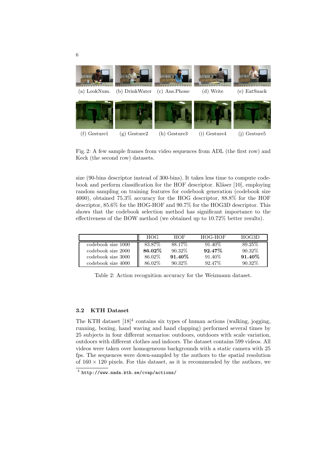

Fig. 2: A few sample frames from video sequences from ADL (the first row) and Keck (the second row) datasets.

size (90-bins descriptor instead of 300-bins). It takes less time to compute codebook and perform classification for the HOF descriptor. Kläser [10], employing random sampling on training features for codebook generation (codebook size 4000), obtained 75.3% accuracy for the HOG descriptor, 88.8% for the HOF descriptor, 85.6% for the HOG-HOF and 90.7% for the HOG3D descriptor. This shows that the codebook selection method has significant importance to the effectiveness of the BOW method (we obtained up to 10.72% better results).

|                    | <b>HOG</b> | HOF       | HOG-HOF   | HOG3D     |
|--------------------|------------|-----------|-----------|-----------|
| codebook size 1000 | 83.87\%    | 88.17\%   | $91.40\%$ | 89.25\%   |
| codebook size 2000 | 86.02%     | $90.32\%$ | 92.47%    | $90.32\%$ |
| codebook size 3000 | 86.02\%    | 91.40%    | 91.40\%   | 91.40%    |
| codebook size 4000 | 86.02\%    | $90.32\%$ | 92.47\%   | 90.32\%   |

Table 2: Action recognition accuracy for the Weizmann dataset.

#### 3.2 KTH Dataset

The KTH dataset  $[18]^4$  contains six types of human actions (walking, jogging, running, boxing, hand waving and hand clapping) performed several times by 25 subjects in four different scenarios: outdoors, outdoors with scale variation, outdoors with different clothes and indoors. The dataset contains 599 videos. All videos were taken over homogeneous backgrounds with a static camera with 25 fps. The sequences were down-sampled by the authors to the spatial resolution of  $160 \times 120$  pixels. For this dataset, as it is recommended by the authors, we

<sup>4</sup> http://www.nada.kth.se/cvap/actions/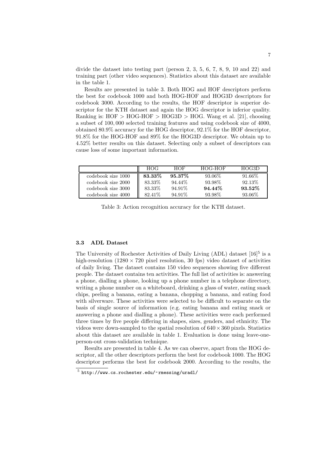divide the dataset into testing part (person 2, 3, 5, 6, 7, 8, 9, 10 and 22) and training part (other video sequences). Statistics about this dataset are available in the table 1.

Results are presented in table 3. Both HOG and HOF descriptors perform the best for codebook 1000 and both HOG-HOF and HOG3D descriptors for codebook 3000. According to the results, the HOF descriptor is superior descriptor for the KTH dataset and again the HOG descriptor is inferior quality. Ranking is:  $HOF > HOG-HOF > HOG3D > HOG$ . Wang et al. [21], choosing a subset of 100, 000 selected training features and using codebook size of 4000, obtained 80.9% accuracy for the HOG descriptor, 92.1% for the HOF descriptor, 91.8% for the HOG-HOF and 89% for the HOG3D descriptor. We obtain up to 4.52% better results on this dataset. Selecting only a subset of descriptors can cause loss of some important information.

|                    | HOG.    | HOF       | HOG-HOF | HOG3D   |
|--------------------|---------|-----------|---------|---------|
| codebook size 1000 | 83.33%  | $95.37\%$ | 93.06\% | 91.66\% |
| codebook size 2000 | 83.33%  | 94.44\%   | 93.98%  | 92.13\% |
| codebook size 3000 | 83.33%  | 94.91%    | 94.44\% | 93.52%  |
| codebook size 4000 | 82.41\% | 94.91\%   | 93.98%  | 93.06%  |

Table 3: Action recognition accuracy for the KTH dataset.

#### 3.3 ADL Dataset

The University of Rochester Activities of Daily Living (ADL) dataset  $[16]$ <sup>5</sup> is a high-resolution (1280  $\times$  720 pixel resolution, 30 fps) video dataset of activities of daily living. The dataset contains 150 video sequences showing five different people. The dataset contains ten activities. The full list of activities is: answering a phone, dialling a phone, looking up a phone number in a telephone directory, writing a phone number on a whiteboard, drinking a glass of water, eating snack chips, peeling a banana, eating a banana, chopping a banana, and eating food with silverware. These activities were selected to be difficult to separate on the basis of single source of information (e.g. eating banana and eating snack or answering a phone and dialling a phone). These activities were each performed three times by five people differing in shapes, sizes, genders, and ethnicity. The videos were down-sampled to the spatial resolution of  $640 \times 360$  pixels. Statistics about this dataset are available in table 1. Evaluation is done using leave-oneperson-out cross-validation technique.

Results are presented in table 4. As we can observe, apart from the HOG descriptor, all the other descriptors perform the best for codebook 1000. The HOG descriptor performs the best for codebook 2000. According to the results, the

 $^5$ http://www.cs.rochester.edu/~rmessing/uradl/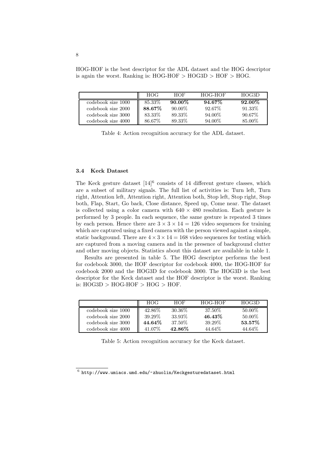HOG-HOF is the best descriptor for the ADL dataset and the HOG descriptor is again the worst. Ranking is:  $HOG-HOF > HOG3D > HOF > HOG$ .

|                    | HOG    | HOF       | HOG-HOF | HOG3D  |
|--------------------|--------|-----------|---------|--------|
| codebook size 1000 | 85.33% | $90.00\%$ | 94.67%  | 92.00% |
| codebook size 2000 | 88.67% | $90.00\%$ | 92.67%  | 91.33% |
| codebook size 3000 | 83.33% | 89.33%    | 94.00%  | 90.67% |
| codebook size 4000 | 86.67% | 89.33%    | 94.00%  | 85.00% |

Table 4: Action recognition accuracy for the ADL dataset.

#### 3.4 Keck Dataset

The Keck gesture dataset [14]<sup>6</sup> consists of 14 different gesture classes, which are a subset of military signals. The full list of activities is: Turn left, Turn right, Attention left, Attention right, Attention both, Stop left, Stop right, Stop both, Flap, Start, Go back, Close distance, Speed up, Come near. The dataset is collected using a color camera with  $640 \times 480$  resolution. Each gesture is performed by 3 people. In each sequence, the same gesture is repeated 3 times by each person. Hence there are  $3 \times 3 \times 14 = 126$  video sequences for training which are captured using a fixed camera with the person viewed against a simple, static background. There are  $4 \times 3 \times 14 = 168$  video sequences for testing which are captured from a moving camera and in the presence of background clutter and other moving objects. Statistics about this dataset are available in table 1.

Results are presented in table 5. The HOG descriptor performs the best for codebook 3000, the HOF descriptor for codebook 4000, the HOG-HOF for codebook 2000 and the HOG3D for codebook 3000. The HOG3D is the best descriptor for the Keck dataset and the HOF descriptor is the worst. Ranking is:  $HOG3D > HOG-HOF > HOG > HOF$ .

|                    | <b>HOG</b> | HOF     | HOG-HOF | HOG3D  |
|--------------------|------------|---------|---------|--------|
| codebook size 1000 | 42.86%     | 30.36\% | 37.50%  | 50.00% |
| codebook size 2000 | 39.29%     | 33.93%  | 46.43%  | 50.00% |
| codebook size 3000 | 44.64%     | 37.50%  | 39.29%  | 53.57% |
| codebook size 4000 | 41.07%     | 42.86%  | 44.64%  | 44.64% |

Table 5: Action recognition accuracy for the Keck dataset.

 $^6$ http://www.umiacs.umd.edu/~zhuolin/Keckgesturedataset.html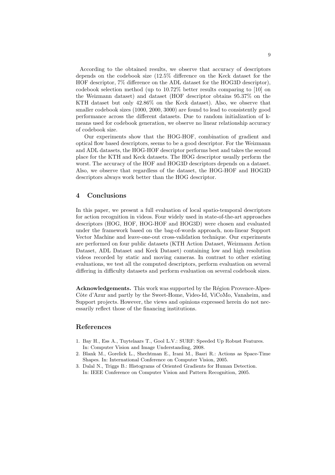According to the obtained results, we observe that accuracy of descriptors depends on the codebook size (12.5% difference on the Keck dataset for the HOF descriptor, 7% difference on the ADL dataset for the HOG3D descriptor), codebook selection method (up to 10.72% better results comparing to [10] on the Weizmann dataset) and dataset (HOF descriptor obtains 95.37% on the KTH dataset but only 42.86% on the Keck dataset). Also, we observe that smaller codebook sizes (1000, 2000, 3000) are found to lead to consistently good performance across the different datasets. Due to random initialization of kmeans used for codebook generation, we observe no linear relationship accuracy of codebook size.

Our experiments show that the HOG-HOF, combination of gradient and optical flow based descriptors, seems to be a good descriptor. For the Weizmann and ADL datasets, the HOG-HOF descriptor performs best and takes the second place for the KTH and Keck datasets. The HOG descriptor usually perform the worst. The accuracy of the HOF and HOG3D descriptors depends on a dataset. Also, we observe that regardless of the dataset, the HOG-HOF and HOG3D descriptors always work better than the HOG descriptor.

#### 4 Conclusions

In this paper, we present a full evaluation of local spatio-temporal descriptors for action recognition in videos. Four widely used in state-of-the-art approaches descriptors (HOG, HOF, HOG-HOF and HOG3D) were chosen and evaluated under the framework based on the bag-of-words approach, non-linear Support Vector Machine and leave-one-out cross-validation technique. Our experiments are performed on four public datasets (KTH Action Dataset, Weizmann Action Dataset, ADL Dataset and Keck Dataset) containing low and high resolution videos recorded by static and moving cameras. In contrast to other existing evaluations, we test all the computed descriptors, perform evaluation on several differing in difficulty datasets and perform evaluation on several codebook sizes.

Acknowledgements. This work was supported by the Région Provence-Alpes-Côte d'Azur and partly by the Sweet-Home, Video-Id, ViCoMo, Vanaheim, and Support projects. However, the views and opinions expressed herein do not necessarily reflect those of the financing institutions.

#### References

- 1. Bay H., Ess A., Tuytelaars T., Gool L.V.: SURF: Speeded Up Robust Features. In: Computer Vision and Image Understanding, 2008.
- 2. Blank M., Gorelick L., Shechtman E., Irani M., Basri R.: Actions as Space-Time Shapes. In: International Conference on Computer Vision, 2005.
- 3. Dalal N., Triggs B.: Histograms of Oriented Gradients for Human Detection. In: IEEE Conference on Computer Vision and Pattern Recognition, 2005.